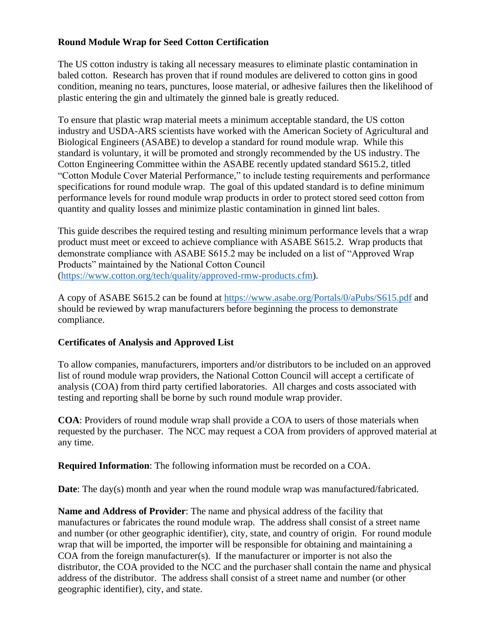# **Round Module Wrap for Seed Cotton Certification**

The US cotton industry is taking all necessary measures to eliminate plastic contamination in baled cotton. Research has proven that if round modules are delivered to cotton gins in good condition, meaning no tears, punctures, loose material, or adhesive failures then the likelihood of plastic entering the gin and ultimately the ginned bale is greatly reduced.

To ensure that plastic wrap material meets a minimum acceptable standard, the US cotton industry and USDA-ARS scientists have worked with the American Society of Agricultural and Biological Engineers (ASABE) to develop a standard for round module wrap. While this standard is voluntary, it will be promoted and strongly recommended by the US industry. The Cotton Engineering Committee within the ASABE recently updated standard S615.2, titled "Cotton Module Cover Material Performance," to include testing requirements and performance specifications for round module wrap. The goal of this updated standard is to define minimum performance levels for round module wrap products in order to protect stored seed cotton from quantity and quality losses and minimize plastic contamination in ginned lint bales.

This guide describes the required testing and resulting minimum performance levels that a wrap product must meet or exceed to achieve compliance with ASABE S615.2. Wrap products that demonstrate compliance with ASABE S615.2 may be included on a list of "Approved Wrap Products" maintained by the National Cotton Council [\(https://www.cotton.org/tech/quality/approved-rmw-products.cfm\)](https://www.cotton.org/tech/quality/approved-rmw-products.cfm).

A copy of ASABE S615.2 can be found at<https://www.asabe.org/Portals/0/aPubs/S615.pdf> and should be reviewed by wrap manufacturers before beginning the process to demonstrate compliance.

## **Certificates of Analysis and Approved List**

To allow companies, manufacturers, importers and/or distributors to be included on an approved list of round module wrap providers, the National Cotton Council will accept a certificate of analysis (COA) from third party certified laboratories. All charges and costs associated with testing and reporting shall be borne by such round module wrap provider.

**COA**: Providers of round module wrap shall provide a COA to users of those materials when requested by the purchaser. The NCC may request a COA from providers of approved material at any time.

**Required Information**: The following information must be recorded on a COA.

**Date**: The day(s) month and year when the round module wrap was manufactured/fabricated.

**Name and Address of Provider**: The name and physical address of the facility that manufactures or fabricates the round module wrap. The address shall consist of a street name and number (or other geographic identifier), city, state, and country of origin. For round module wrap that will be imported, the importer will be responsible for obtaining and maintaining a COA from the foreign manufacturer(s). If the manufacturer or importer is not also the distributor, the COA provided to the NCC and the purchaser shall contain the name and physical address of the distributor. The address shall consist of a street name and number (or other geographic identifier), city, and state.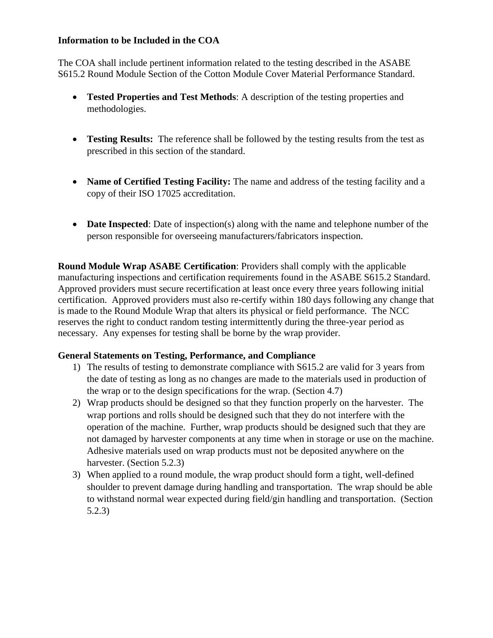#### **Information to be Included in the COA**

The COA shall include pertinent information related to the testing described in the ASABE S615.2 Round Module Section of the Cotton Module Cover Material Performance Standard.

- **Tested Properties and Test Methods**: A description of the testing properties and methodologies.
- **Testing Results:** The reference shall be followed by the testing results from the test as prescribed in this section of the standard.
- **Name of Certified Testing Facility:** The name and address of the testing facility and a copy of their ISO 17025 accreditation.
- **Date Inspected**: Date of inspection(s) along with the name and telephone number of the person responsible for overseeing manufacturers/fabricators inspection.

**Round Module Wrap ASABE Certification**: Providers shall comply with the applicable manufacturing inspections and certification requirements found in the ASABE S615.2 Standard. Approved providers must secure recertification at least once every three years following initial certification. Approved providers must also re-certify within 180 days following any change that is made to the Round Module Wrap that alters its physical or field performance. The NCC reserves the right to conduct random testing intermittently during the three-year period as necessary. Any expenses for testing shall be borne by the wrap provider.

## **General Statements on Testing, Performance, and Compliance**

- 1) The results of testing to demonstrate compliance with S615.2 are valid for 3 years from the date of testing as long as no changes are made to the materials used in production of the wrap or to the design specifications for the wrap. (Section 4.7)
- 2) Wrap products should be designed so that they function properly on the harvester. The wrap portions and rolls should be designed such that they do not interfere with the operation of the machine. Further, wrap products should be designed such that they are not damaged by harvester components at any time when in storage or use on the machine. Adhesive materials used on wrap products must not be deposited anywhere on the harvester. (Section 5.2.3)
- 3) When applied to a round module, the wrap product should form a tight, well-defined shoulder to prevent damage during handling and transportation. The wrap should be able to withstand normal wear expected during field/gin handling and transportation. (Section 5.2.3)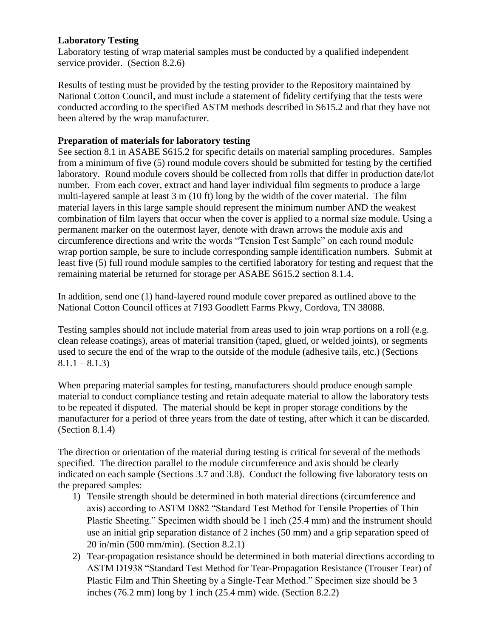### **Laboratory Testing**

Laboratory testing of wrap material samples must be conducted by a qualified independent service provider. (Section 8.2.6)

Results of testing must be provided by the testing provider to the Repository maintained by National Cotton Council, and must include a statement of fidelity certifying that the tests were conducted according to the specified ASTM methods described in S615.2 and that they have not been altered by the wrap manufacturer.

# **Preparation of materials for laboratory testing**

See section 8.1 in ASABE S615.2 for specific details on material sampling procedures. Samples from a minimum of five (5) round module covers should be submitted for testing by the certified laboratory. Round module covers should be collected from rolls that differ in production date/lot number. From each cover, extract and hand layer individual film segments to produce a large multi-layered sample at least 3 m (10 ft) long by the width of the cover material. The film material layers in this large sample should represent the minimum number AND the weakest combination of film layers that occur when the cover is applied to a normal size module. Using a permanent marker on the outermost layer, denote with drawn arrows the module axis and circumference directions and write the words "Tension Test Sample" on each round module wrap portion sample, be sure to include corresponding sample identification numbers. Submit at least five (5) full round module samples to the certified laboratory for testing and request that the remaining material be returned for storage per ASABE S615.2 section 8.1.4.

In addition, send one (1) hand-layered round module cover prepared as outlined above to the National Cotton Council offices at 7193 Goodlett Farms Pkwy, Cordova, TN 38088.

Testing samples should not include material from areas used to join wrap portions on a roll (e.g. clean release coatings), areas of material transition (taped, glued, or welded joints), or segments used to secure the end of the wrap to the outside of the module (adhesive tails, etc.) (Sections  $8.1.1 - 8.1.3$ 

When preparing material samples for testing, manufacturers should produce enough sample material to conduct compliance testing and retain adequate material to allow the laboratory tests to be repeated if disputed. The material should be kept in proper storage conditions by the manufacturer for a period of three years from the date of testing, after which it can be discarded. (Section 8.1.4)

The direction or orientation of the material during testing is critical for several of the methods specified. The direction parallel to the module circumference and axis should be clearly indicated on each sample (Sections 3.7 and 3.8). Conduct the following five laboratory tests on the prepared samples:

- 1) Tensile strength should be determined in both material directions (circumference and axis) according to ASTM D882 "Standard Test Method for Tensile Properties of Thin Plastic Sheeting." Specimen width should be 1 inch (25.4 mm) and the instrument should use an initial grip separation distance of 2 inches (50 mm) and a grip separation speed of 20 in/min (500 mm/min). (Section 8.2.1)
- 2) Tear-propagation resistance should be determined in both material directions according to ASTM D1938 "Standard Test Method for Tear-Propagation Resistance (Trouser Tear) of Plastic Film and Thin Sheeting by a Single-Tear Method." Specimen size should be 3 inches (76.2 mm) long by 1 inch (25.4 mm) wide. (Section 8.2.2)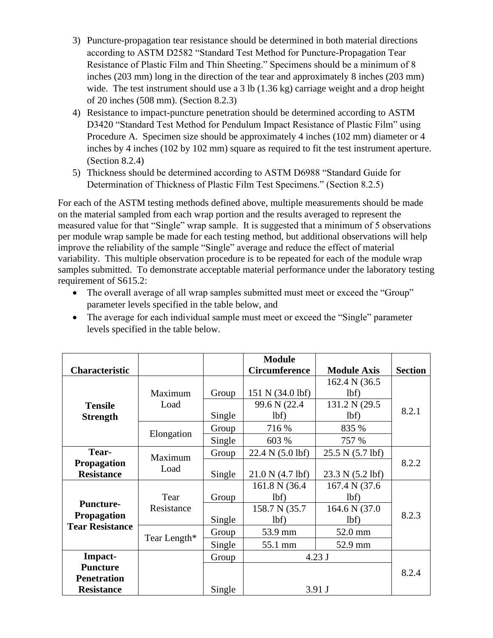- 3) Puncture-propagation tear resistance should be determined in both material directions according to ASTM D2582 "Standard Test Method for Puncture-Propagation Tear Resistance of Plastic Film and Thin Sheeting." Specimens should be a minimum of 8 inches (203 mm) long in the direction of the tear and approximately 8 inches (203 mm) wide. The test instrument should use a 3 lb (1.36 kg) carriage weight and a drop height of 20 inches (508 mm). (Section 8.2.3)
- 4) Resistance to impact-puncture penetration should be determined according to ASTM D3420 "Standard Test Method for Pendulum Impact Resistance of Plastic Film" using Procedure A. Specimen size should be approximately 4 inches (102 mm) diameter or 4 inches by 4 inches (102 by 102 mm) square as required to fit the test instrument aperture. (Section 8.2.4)
- 5) Thickness should be determined according to ASTM D6988 "Standard Guide for Determination of Thickness of Plastic Film Test Specimens." (Section 8.2.5)

For each of the ASTM testing methods defined above, multiple measurements should be made on the material sampled from each wrap portion and the results averaged to represent the measured value for that "Single" wrap sample. It is suggested that a minimum of 5 observations per module wrap sample be made for each testing method, but additional observations will help improve the reliability of the sample "Single" average and reduce the effect of material variability. This multiple observation procedure is to be repeated for each of the module wrap samples submitted. To demonstrate acceptable material performance under the laboratory testing requirement of S615.2:

• The overall average of all wrap samples submitted must meet or exceed the "Group" parameter levels specified in the table below, and

| <b>Characteristic</b>                                                 |                    |                 | <b>Module</b><br><b>Circumference</b>            | <b>Module Axis</b>                               | <b>Section</b> |
|-----------------------------------------------------------------------|--------------------|-----------------|--------------------------------------------------|--------------------------------------------------|----------------|
| <b>Tensile</b><br><b>Strength</b>                                     | Maximum<br>Load    | Group<br>Single | 151 N (34.0 lbf)<br>99.6 N (22.4)<br>1bf)        | 162.4 N (36.5)<br>lbf)<br>131.2 N (29.5)<br>lbf) | 8.2.1          |
|                                                                       | Elongation         | Group<br>Single | 716 %<br>603 %                                   | 835 %<br>757 %                                   |                |
| Tear-<br>Propagation<br><b>Resistance</b>                             | Maximum<br>Load    | Group<br>Single | 22.4 N (5.0 lbf)<br>21.0 N (4.7 lbf)             | 25.5 N (5.7 lbf)<br>23.3 N (5.2 lbf)             | 8.2.2          |
| <b>Puncture-</b><br><b>Propagation</b><br><b>Tear Resistance</b>      | Tear<br>Resistance | Group<br>Single | 161.8 N (36.4)<br>1bf)<br>158.7 N (35.7)<br>1bf) | 167.4 N (37.6)<br>lbf)<br>164.6 N (37.0)<br>lbf) | 8.2.3          |
|                                                                       | Tear Length*       | Group<br>Single | 53.9 mm<br>55.1 mm                               | 52.0 mm<br>52.9 mm                               |                |
| Impact-<br><b>Puncture</b><br><b>Penetration</b><br><b>Resistance</b> |                    | Group<br>Single |                                                  | $4.23$ J<br>3.91 J                               | 8.2.4          |

• The average for each individual sample must meet or exceed the "Single" parameter levels specified in the table below.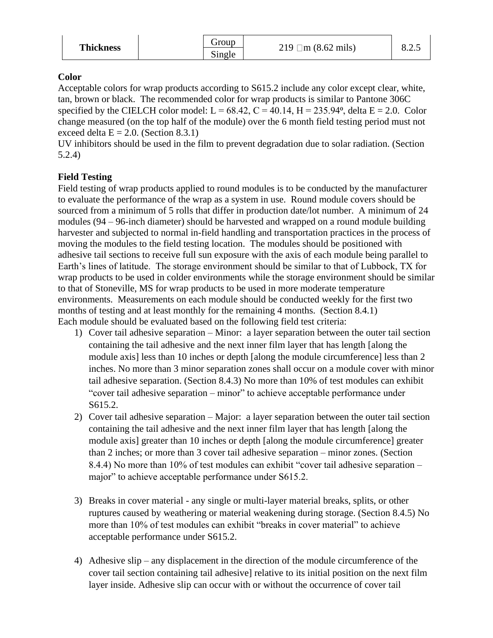| <b>Thickness</b> | <b>G</b> roup | $\Box$ m (8.62 mils)<br>219 | 0.4.3 |
|------------------|---------------|-----------------------------|-------|
|                  | Single        |                             |       |

## **Color**

Acceptable colors for wrap products according to S615.2 include any color except clear, white, tan, brown or black. The recommended color for wrap products is similar to Pantone 306C specified by the CIELCH color model:  $L = 68.42$ ,  $C = 40.14$ ,  $H = 235.94$ <sup>o</sup>, delta  $E = 2.0$ . Color change measured (on the top half of the module) over the 6 month field testing period must not exceed delta  $E = 2.0$ . (Section 8.3.1)

UV inhibitors should be used in the film to prevent degradation due to solar radiation. (Section 5.2.4)

## **Field Testing**

Field testing of wrap products applied to round modules is to be conducted by the manufacturer to evaluate the performance of the wrap as a system in use. Round module covers should be sourced from a minimum of 5 rolls that differ in production date/lot number. A minimum of 24 modules (94 – 96-inch diameter) should be harvested and wrapped on a round module building harvester and subjected to normal in-field handling and transportation practices in the process of moving the modules to the field testing location. The modules should be positioned with adhesive tail sections to receive full sun exposure with the axis of each module being parallel to Earth's lines of latitude. The storage environment should be similar to that of Lubbock, TX for wrap products to be used in colder environments while the storage environment should be similar to that of Stoneville, MS for wrap products to be used in more moderate temperature environments. Measurements on each module should be conducted weekly for the first two months of testing and at least monthly for the remaining 4 months. (Section 8.4.1) Each module should be evaluated based on the following field test criteria:

- 1) Cover tail adhesive separation Minor: a layer separation between the outer tail section containing the tail adhesive and the next inner film layer that has length [along the module axis] less than 10 inches or depth [along the module circumference] less than 2 inches. No more than 3 minor separation zones shall occur on a module cover with minor tail adhesive separation. (Section 8.4.3) No more than 10% of test modules can exhibit "cover tail adhesive separation – minor" to achieve acceptable performance under S615.2.
- 2) Cover tail adhesive separation Major: a layer separation between the outer tail section containing the tail adhesive and the next inner film layer that has length [along the module axis] greater than 10 inches or depth [along the module circumference] greater than 2 inches; or more than 3 cover tail adhesive separation – minor zones. (Section 8.4.4) No more than 10% of test modules can exhibit "cover tail adhesive separation – major" to achieve acceptable performance under S615.2.
- 3) Breaks in cover material any single or multi-layer material breaks, splits, or other ruptures caused by weathering or material weakening during storage. (Section 8.4.5) No more than 10% of test modules can exhibit "breaks in cover material" to achieve acceptable performance under S615.2.
- 4) Adhesive slip any displacement in the direction of the module circumference of the cover tail section containing tail adhesive] relative to its initial position on the next film layer inside. Adhesive slip can occur with or without the occurrence of cover tail